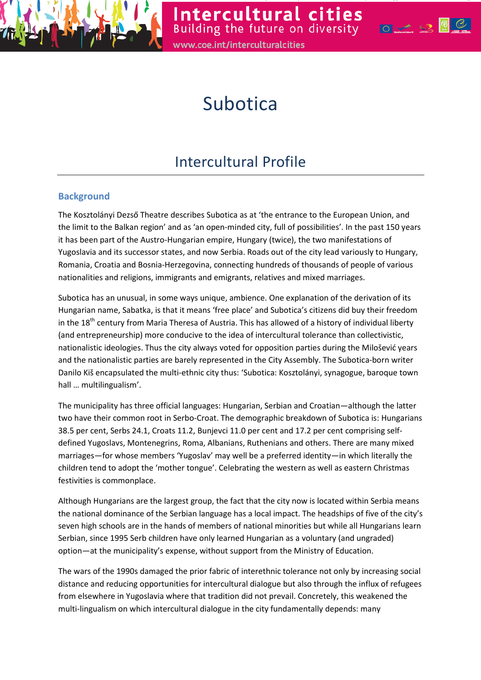

# **Subotica**

# Intercultural Profile

# **Background**

The Kosztolányi Dezső Theatre describes Subotica as at 'the entrance to the European Union, and the limit to the Balkan region' and as 'an open-minded city, full of possibilities'. In the past 150 years it has been part of the Austro-Hungarian empire, Hungary (twice), the two manifestations of Yugoslavia and its successor states, and now Serbia. Roads out of the city lead variously to Hungary, Romania, Croatia and Bosnia-Herzegovina, connecting hundreds of thousands of people of various nationalities and religions, immigrants and emigrants, relatives and mixed marriages.

Subotica has an unusual, in some ways unique, ambience. One explanation of the derivation of its Hungarian name, Sabatka, is that it means 'free place' and Subotica's citizens did buy their freedom in the 18<sup>th</sup> century from Maria Theresa of Austria. This has allowed of a history of individual liberty (and entrepreneurship) more conducive to the idea of intercultural tolerance than collectivistic, nationalistic ideologies. Thus the city always voted for opposition parties during the Milošević years and the nationalistic parties are barely represented in the City Assembly. The Subotica-born writer Danilo Kiš encapsulated the multi-ethnic city thus: 'Subotica: Kosztolányi, synagogue, baroque town hall … multilingualism'.

The municipality has three official languages: Hungarian, Serbian and Croatian—although the latter two have their common root in Serbo-Croat. The demographic breakdown of Subotica is: Hungarians 38.5 per cent, Serbs 24.1, Croats 11.2, Bunjevci 11.0 per cent and 17.2 per cent comprising selfdefined Yugoslavs, Montenegrins, Roma, Albanians, Ruthenians and others. There are many mixed marriages—for whose members 'Yugoslav' may well be a preferred identity—in which literally the children tend to adopt the 'mother tongue'. Celebrating the western as well as eastern Christmas festivities is commonplace.

Although Hungarians are the largest group, the fact that the city now is located within Serbia means the national dominance of the Serbian language has a local impact. The headships of five of the city's seven high schools are in the hands of members of national minorities but while all Hungarians learn Serbian, since 1995 Serb children have only learned Hungarian as a voluntary (and ungraded) option—at the municipality's expense, without support from the Ministry of Education.

The wars of the 1990s damaged the prior fabric of interethnic tolerance not only by increasing social distance and reducing opportunities for intercultural dialogue but also through the influx of refugees from elsewhere in Yugoslavia where that tradition did not prevail. Concretely, this weakened the multi-lingualism on which intercultural dialogue in the city fundamentally depends: many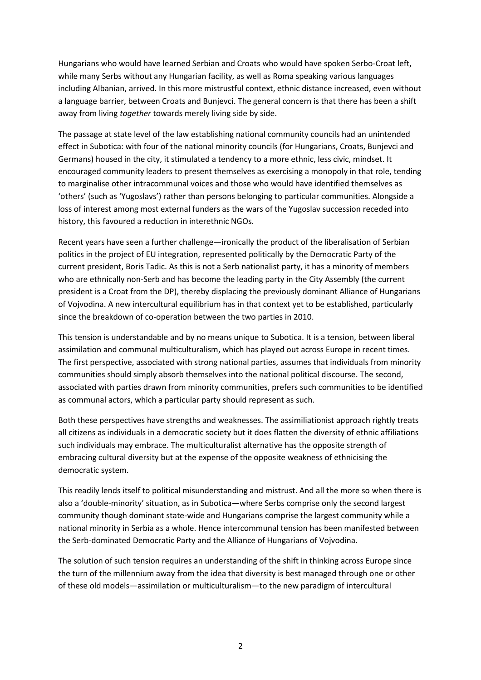Hungarians who would have learned Serbian and Croats who would have spoken Serbo-Croat left, while many Serbs without any Hungarian facility, as well as Roma speaking various languages including Albanian, arrived. In this more mistrustful context, ethnic distance increased, even without a language barrier, between Croats and Bunjevci. The general concern is that there has been a shift away from living together towards merely living side by side.

The passage at state level of the law establishing national community councils had an unintended effect in Subotica: with four of the national minority councils (for Hungarians, Croats, Bunjevci and Germans) housed in the city, it stimulated a tendency to a more ethnic, less civic, mindset. It encouraged community leaders to present themselves as exercising a monopoly in that role, tending to marginalise other intracommunal voices and those who would have identified themselves as 'others' (such as 'Yugoslavs') rather than persons belonging to particular communities. Alongside a loss of interest among most external funders as the wars of the Yugoslav succession receded into history, this favoured a reduction in interethnic NGOs.

Recent years have seen a further challenge—ironically the product of the liberalisation of Serbian politics in the project of EU integration, represented politically by the Democratic Party of the current president, Boris Tadic. As this is not a Serb nationalist party, it has a minority of members who are ethnically non-Serb and has become the leading party in the City Assembly (the current president is a Croat from the DP), thereby displacing the previously dominant Alliance of Hungarians of Vojvodina. A new intercultural equilibrium has in that context yet to be established, particularly since the breakdown of co-operation between the two parties in 2010.

This tension is understandable and by no means unique to Subotica. It is a tension, between liberal assimilation and communal multiculturalism, which has played out across Europe in recent times. The first perspective, associated with strong national parties, assumes that individuals from minority communities should simply absorb themselves into the national political discourse. The second, associated with parties drawn from minority communities, prefers such communities to be identified as communal actors, which a particular party should represent as such.

Both these perspectives have strengths and weaknesses. The assimiliationist approach rightly treats all citizens as individuals in a democratic society but it does flatten the diversity of ethnic affiliations such individuals may embrace. The multiculturalist alternative has the opposite strength of embracing cultural diversity but at the expense of the opposite weakness of ethnicising the democratic system.

This readily lends itself to political misunderstanding and mistrust. And all the more so when there is also a 'double-minority' situation, as in Subotica—where Serbs comprise only the second largest community though dominant state-wide and Hungarians comprise the largest community while a national minority in Serbia as a whole. Hence intercommunal tension has been manifested between the Serb-dominated Democratic Party and the Alliance of Hungarians of Vojvodina.

The solution of such tension requires an understanding of the shift in thinking across Europe since the turn of the millennium away from the idea that diversity is best managed through one or other of these old models—assimilation or multiculturalism—to the new paradigm of intercultural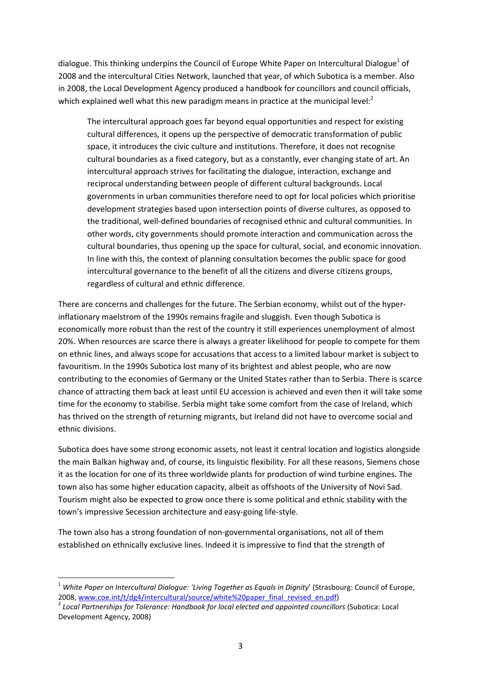dialogue. This thinking underpins the Council of Europe White Paper on Intercultural Dialogue<sup>1</sup> of 2008 and the intercultural Cities Network, launched that year, of which Subotica is a member. Also in 2008, the Local Development Agency produced a handbook for councillors and council officials, which explained well what this new paradigm means in practice at the municipal level:<sup>2</sup>

The intercultural approach goes far beyond equal opportunities and respect for existing cultural differences, it opens up the perspective of democratic transformation of public space, it introduces the civic culture and institutions. Therefore, it does not recognise cultural boundaries as a fixed category, but as a constantly, ever changing state of art. An intercultural approach strives for facilitating the dialogue, interaction, exchange and reciprocal understanding between people of different cultural backgrounds. Local governments in urban communities therefore need to opt for local policies which prioritise development strategies based upon intersection points of diverse cultures, as opposed to the traditional, well-defined boundaries of recognised ethnic and cultural communities. In other words, city governments should promote interaction and communication across the cultural boundaries, thus opening up the space for cultural, social, and economic innovation. In line with this, the context of planning consultation becomes the public space for good intercultural governance to the benefit of all the citizens and diverse citizens groups, regardless of cultural and ethnic difference.

There are concerns and challenges for the future. The Serbian economy, whilst out of the hyperinflationary maelstrom of the 1990s remains fragile and sluggish. Even though Subotica is economically more robust than the rest of the country it still experiences unemployment of almost 20%. When resources are scarce there is always a greater likelihood for people to compete for them on ethnic lines, and always scope for accusations that access to a limited labour market is subject to favouritism. In the 1990s Subotica lost many of its brightest and ablest people, who are now contributing to the economies of Germany or the United States rather than to Serbia. There is scarce chance of attracting them back at least until EU accession is achieved and even then it will take some time for the economy to stabilise. Serbia might take some comfort from the case of Ireland, which has thrived on the strength of returning migrants, but Ireland did not have to overcome social and ethnic divisions.

Subotica does have some strong economic assets, not least it central location and logistics alongside the main Balkan highway and, of course, its linguistic flexibility. For all these reasons, Siemens chose it as the location for one of its three worldwide plants for production of wind turbine engines. The town also has some higher education capacity, albeit as offshoots of the University of Novi Sad. Tourism might also be expected to grow once there is some political and ethnic stability with the town's impressive Secession architecture and easy-going life-style.

The town also has a strong foundation of non-governmental organisations, not all of them established on ethnically exclusive lines. Indeed it is impressive to find that the strength of

 $\overline{\phantom{0}}$ 

<sup>&</sup>lt;sup>1</sup> White Paper on Intercultural Dialogue: 'Living Together as Equals in Dignity' (Strasbourg: Council of Europe, 2008, www.coe.int/t/dg4/intercultural/source/white%20paper\_final\_revised\_en.pdf)

 $^2$  Local Partnerships for Tolerance: Handbook for local elected and appointed councillors (Subotica: Local Development Agency, 2008)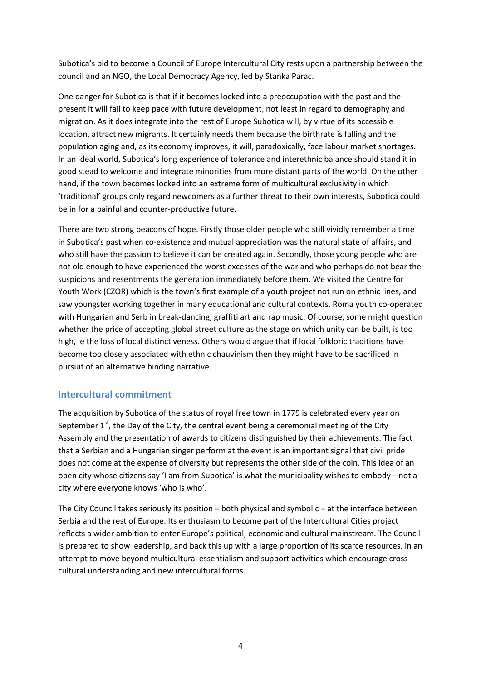Subotica's bid to become a Council of Europe Intercultural City rests upon a partnership between the council and an NGO, the Local Democracy Agency, led by Stanka Parac.

One danger for Subotica is that if it becomes locked into a preoccupation with the past and the present it will fail to keep pace with future development, not least in regard to demography and migration. As it does integrate into the rest of Europe Subotica will, by virtue of its accessible location, attract new migrants. It certainly needs them because the birthrate is falling and the population aging and, as its economy improves, it will, paradoxically, face labour market shortages. In an ideal world, Subotica's long experience of tolerance and interethnic balance should stand it in good stead to welcome and integrate minorities from more distant parts of the world. On the other hand, if the town becomes locked into an extreme form of multicultural exclusivity in which 'traditional' groups only regard newcomers as a further threat to their own interests, Subotica could be in for a painful and counter-productive future.

There are two strong beacons of hope. Firstly those older people who still vividly remember a time in Subotica's past when co-existence and mutual appreciation was the natural state of affairs, and who still have the passion to believe it can be created again. Secondly, those young people who are not old enough to have experienced the worst excesses of the war and who perhaps do not bear the suspicions and resentments the generation immediately before them. We visited the Centre for Youth Work (CZOR) which is the town's first example of a youth project not run on ethnic lines, and saw youngster working together in many educational and cultural contexts. Roma youth co-operated with Hungarian and Serb in break-dancing, graffiti art and rap music. Of course, some might question whether the price of accepting global street culture as the stage on which unity can be built, is too high, ie the loss of local distinctiveness. Others would argue that if local folkloric traditions have become too closely associated with ethnic chauvinism then they might have to be sacrificed in pursuit of an alternative binding narrative.

# Intercultural commitment

The acquisition by Subotica of the status of royal free town in 1779 is celebrated every year on September  $1<sup>st</sup>$ , the Day of the City, the central event being a ceremonial meeting of the City Assembly and the presentation of awards to citizens distinguished by their achievements. The fact that a Serbian and a Hungarian singer perform at the event is an important signal that civil pride does not come at the expense of diversity but represents the other side of the coin. This idea of an open city whose citizens say 'I am from Subotica' is what the municipality wishes to embody—not a city where everyone knows 'who is who'.

The City Council takes seriously its position – both physical and symbolic – at the interface between Serbia and the rest of Europe. Its enthusiasm to become part of the Intercultural Cities project reflects a wider ambition to enter Europe's political, economic and cultural mainstream. The Council is prepared to show leadership, and back this up with a large proportion of its scarce resources, in an attempt to move beyond multicultural essentialism and support activities which encourage crosscultural understanding and new intercultural forms.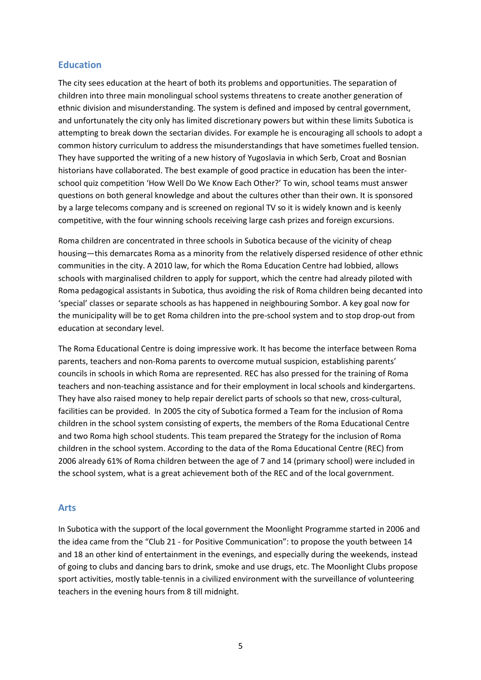#### **Education**

The city sees education at the heart of both its problems and opportunities. The separation of children into three main monolingual school systems threatens to create another generation of ethnic division and misunderstanding. The system is defined and imposed by central government, and unfortunately the city only has limited discretionary powers but within these limits Subotica is attempting to break down the sectarian divides. For example he is encouraging all schools to adopt a common history curriculum to address the misunderstandings that have sometimes fuelled tension. They have supported the writing of a new history of Yugoslavia in which Serb, Croat and Bosnian historians have collaborated. The best example of good practice in education has been the interschool quiz competition 'How Well Do We Know Each Other?' To win, school teams must answer questions on both general knowledge and about the cultures other than their own. It is sponsored by a large telecoms company and is screened on regional TV so it is widely known and is keenly competitive, with the four winning schools receiving large cash prizes and foreign excursions.

Roma children are concentrated in three schools in Subotica because of the vicinity of cheap housing—this demarcates Roma as a minority from the relatively dispersed residence of other ethnic communities in the city. A 2010 law, for which the Roma Education Centre had lobbied, allows schools with marginalised children to apply for support, which the centre had already piloted with Roma pedagogical assistants in Subotica, thus avoiding the risk of Roma children being decanted into 'special' classes or separate schools as has happened in neighbouring Sombor. A key goal now for the municipality will be to get Roma children into the pre-school system and to stop drop-out from education at secondary level.

The Roma Educational Centre is doing impressive work. It has become the interface between Roma parents, teachers and non-Roma parents to overcome mutual suspicion, establishing parents' councils in schools in which Roma are represented. REC has also pressed for the training of Roma teachers and non-teaching assistance and for their employment in local schools and kindergartens. They have also raised money to help repair derelict parts of schools so that new, cross-cultural, facilities can be provided. In 2005 the city of Subotica formed a Team for the inclusion of Roma children in the school system consisting of experts, the members of the Roma Educational Centre and two Roma high school students. This team prepared the Strategy for the inclusion of Roma children in the school system. According to the data of the Roma Educational Centre (REC) from 2006 already 61% of Roma children between the age of 7 and 14 (primary school) were included in the school system, what is a great achievement both of the REC and of the local government.

#### Arts

In Subotica with the support of the local government the Moonlight Programme started in 2006 and the idea came from the "Club 21 - for Positive Communication": to propose the youth between 14 and 18 an other kind of entertainment in the evenings, and especially during the weekends, instead of going to clubs and dancing bars to drink, smoke and use drugs, etc. The Moonlight Clubs propose sport activities, mostly table-tennis in a civilized environment with the surveillance of volunteering teachers in the evening hours from 8 till midnight.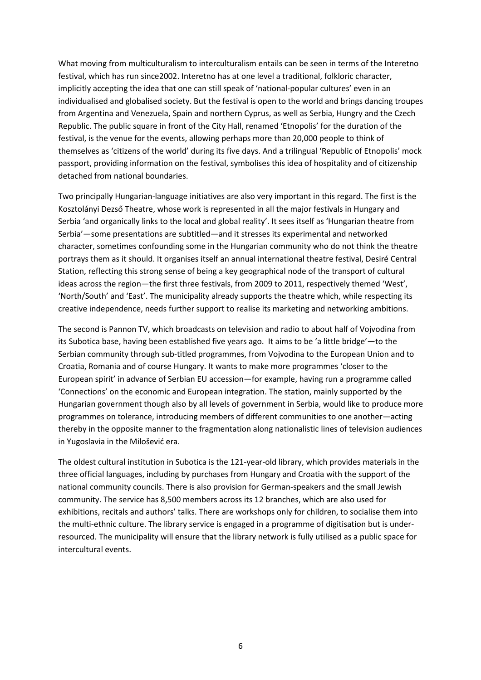What moving from multiculturalism to interculturalism entails can be seen in terms of the Interetno festival, which has run since2002. Interetno has at one level a traditional, folkloric character, implicitly accepting the idea that one can still speak of 'national-popular cultures' even in an individualised and globalised society. But the festival is open to the world and brings dancing troupes from Argentina and Venezuela, Spain and northern Cyprus, as well as Serbia, Hungry and the Czech Republic. The public square in front of the City Hall, renamed 'Etnopolis' for the duration of the festival, is the venue for the events, allowing perhaps more than 20,000 people to think of themselves as 'citizens of the world' during its five days. And a trilingual 'Republic of Etnopolis' mock passport, providing information on the festival, symbolises this idea of hospitality and of citizenship detached from national boundaries.

Two principally Hungarian-language initiatives are also very important in this regard. The first is the Kosztolányi Dezső Theatre, whose work is represented in all the major festivals in Hungary and Serbia 'and organically links to the local and global reality'. It sees itself as 'Hungarian theatre from Serbia'—some presentations are subtitled—and it stresses its experimental and networked character, sometimes confounding some in the Hungarian community who do not think the theatre portrays them as it should. It organises itself an annual international theatre festival, Desiré Central Station, reflecting this strong sense of being a key geographical node of the transport of cultural ideas across the region—the first three festivals, from 2009 to 2011, respectively themed 'West', 'North/South' and 'East'. The municipality already supports the theatre which, while respecting its creative independence, needs further support to realise its marketing and networking ambitions.

The second is Pannon TV, which broadcasts on television and radio to about half of Vojvodina from its Subotica base, having been established five years ago. It aims to be 'a little bridge'—to the Serbian community through sub-titled programmes, from Vojvodina to the European Union and to Croatia, Romania and of course Hungary. It wants to make more programmes 'closer to the European spirit' in advance of Serbian EU accession—for example, having run a programme called 'Connections' on the economic and European integration. The station, mainly supported by the Hungarian government though also by all levels of government in Serbia, would like to produce more programmes on tolerance, introducing members of different communities to one another—acting thereby in the opposite manner to the fragmentation along nationalistic lines of television audiences in Yugoslavia in the Milošević era.

The oldest cultural institution in Subotica is the 121-year-old library, which provides materials in the three official languages, including by purchases from Hungary and Croatia with the support of the national community councils. There is also provision for German-speakers and the small Jewish community. The service has 8,500 members across its 12 branches, which are also used for exhibitions, recitals and authors' talks. There are workshops only for children, to socialise them into the multi-ethnic culture. The library service is engaged in a programme of digitisation but is underresourced. The municipality will ensure that the library network is fully utilised as a public space for intercultural events.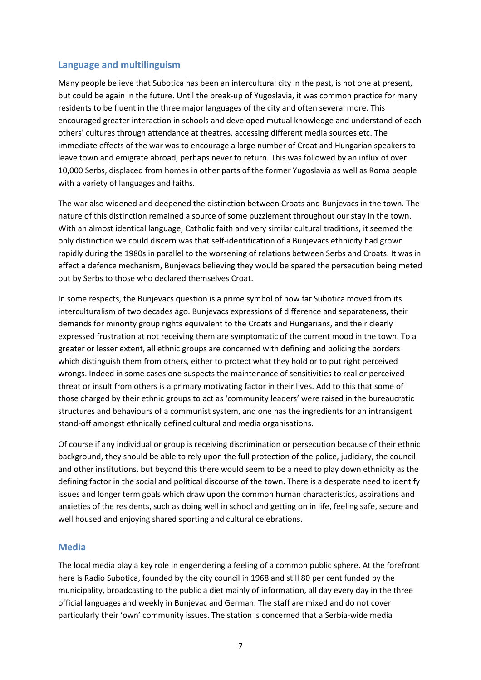# Language and multilinguism

Many people believe that Subotica has been an intercultural city in the past, is not one at present, but could be again in the future. Until the break-up of Yugoslavia, it was common practice for many residents to be fluent in the three major languages of the city and often several more. This encouraged greater interaction in schools and developed mutual knowledge and understand of each others' cultures through attendance at theatres, accessing different media sources etc. The immediate effects of the war was to encourage a large number of Croat and Hungarian speakers to leave town and emigrate abroad, perhaps never to return. This was followed by an influx of over 10,000 Serbs, displaced from homes in other parts of the former Yugoslavia as well as Roma people with a variety of languages and faiths.

The war also widened and deepened the distinction between Croats and Bunjevacs in the town. The nature of this distinction remained a source of some puzzlement throughout our stay in the town. With an almost identical language, Catholic faith and very similar cultural traditions, it seemed the only distinction we could discern was that self-identification of a Bunjevacs ethnicity had grown rapidly during the 1980s in parallel to the worsening of relations between Serbs and Croats. It was in effect a defence mechanism, Bunjevacs believing they would be spared the persecution being meted out by Serbs to those who declared themselves Croat.

In some respects, the Bunjevacs question is a prime symbol of how far Subotica moved from its interculturalism of two decades ago. Bunjevacs expressions of difference and separateness, their demands for minority group rights equivalent to the Croats and Hungarians, and their clearly expressed frustration at not receiving them are symptomatic of the current mood in the town. To a greater or lesser extent, all ethnic groups are concerned with defining and policing the borders which distinguish them from others, either to protect what they hold or to put right perceived wrongs. Indeed in some cases one suspects the maintenance of sensitivities to real or perceived threat or insult from others is a primary motivating factor in their lives. Add to this that some of those charged by their ethnic groups to act as 'community leaders' were raised in the bureaucratic structures and behaviours of a communist system, and one has the ingredients for an intransigent stand-off amongst ethnically defined cultural and media organisations.

Of course if any individual or group is receiving discrimination or persecution because of their ethnic background, they should be able to rely upon the full protection of the police, judiciary, the council and other institutions, but beyond this there would seem to be a need to play down ethnicity as the defining factor in the social and political discourse of the town. There is a desperate need to identify issues and longer term goals which draw upon the common human characteristics, aspirations and anxieties of the residents, such as doing well in school and getting on in life, feeling safe, secure and well housed and enjoying shared sporting and cultural celebrations.

#### Media

The local media play a key role in engendering a feeling of a common public sphere. At the forefront here is Radio Subotica, founded by the city council in 1968 and still 80 per cent funded by the municipality, broadcasting to the public a diet mainly of information, all day every day in the three official languages and weekly in Bunjevac and German. The staff are mixed and do not cover particularly their 'own' community issues. The station is concerned that a Serbia-wide media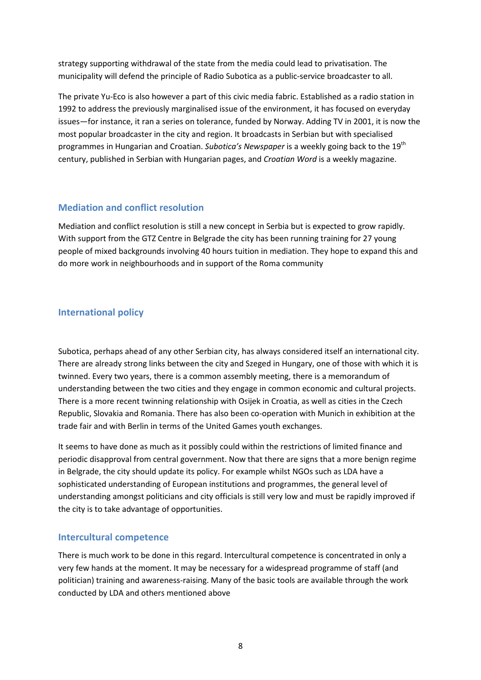strategy supporting withdrawal of the state from the media could lead to privatisation. The municipality will defend the principle of Radio Subotica as a public-service broadcaster to all.

The private Yu-Eco is also however a part of this civic media fabric. Established as a radio station in 1992 to address the previously marginalised issue of the environment, it has focused on everyday issues—for instance, it ran a series on tolerance, funded by Norway. Adding TV in 2001, it is now the most popular broadcaster in the city and region. It broadcasts in Serbian but with specialised programmes in Hungarian and Croatian. Subotica's Newspaper is a weekly going back to the 19<sup>th</sup> century, published in Serbian with Hungarian pages, and Croatian Word is a weekly magazine.

#### Mediation and conflict resolution

Mediation and conflict resolution is still a new concept in Serbia but is expected to grow rapidly. With support from the GTZ Centre in Belgrade the city has been running training for 27 young people of mixed backgrounds involving 40 hours tuition in mediation. They hope to expand this and do more work in neighbourhoods and in support of the Roma community

#### International policy

Subotica, perhaps ahead of any other Serbian city, has always considered itself an international city. There are already strong links between the city and Szeged in Hungary, one of those with which it is twinned. Every two years, there is a common assembly meeting, there is a memorandum of understanding between the two cities and they engage in common economic and cultural projects. There is a more recent twinning relationship with Osijek in Croatia, as well as cities in the Czech Republic, Slovakia and Romania. There has also been co-operation with Munich in exhibition at the trade fair and with Berlin in terms of the United Games youth exchanges.

It seems to have done as much as it possibly could within the restrictions of limited finance and periodic disapproval from central government. Now that there are signs that a more benign regime in Belgrade, the city should update its policy. For example whilst NGOs such as LDA have a sophisticated understanding of European institutions and programmes, the general level of understanding amongst politicians and city officials is still very low and must be rapidly improved if the city is to take advantage of opportunities.

#### Intercultural competence

There is much work to be done in this regard. Intercultural competence is concentrated in only a very few hands at the moment. It may be necessary for a widespread programme of staff (and politician) training and awareness-raising. Many of the basic tools are available through the work conducted by LDA and others mentioned above